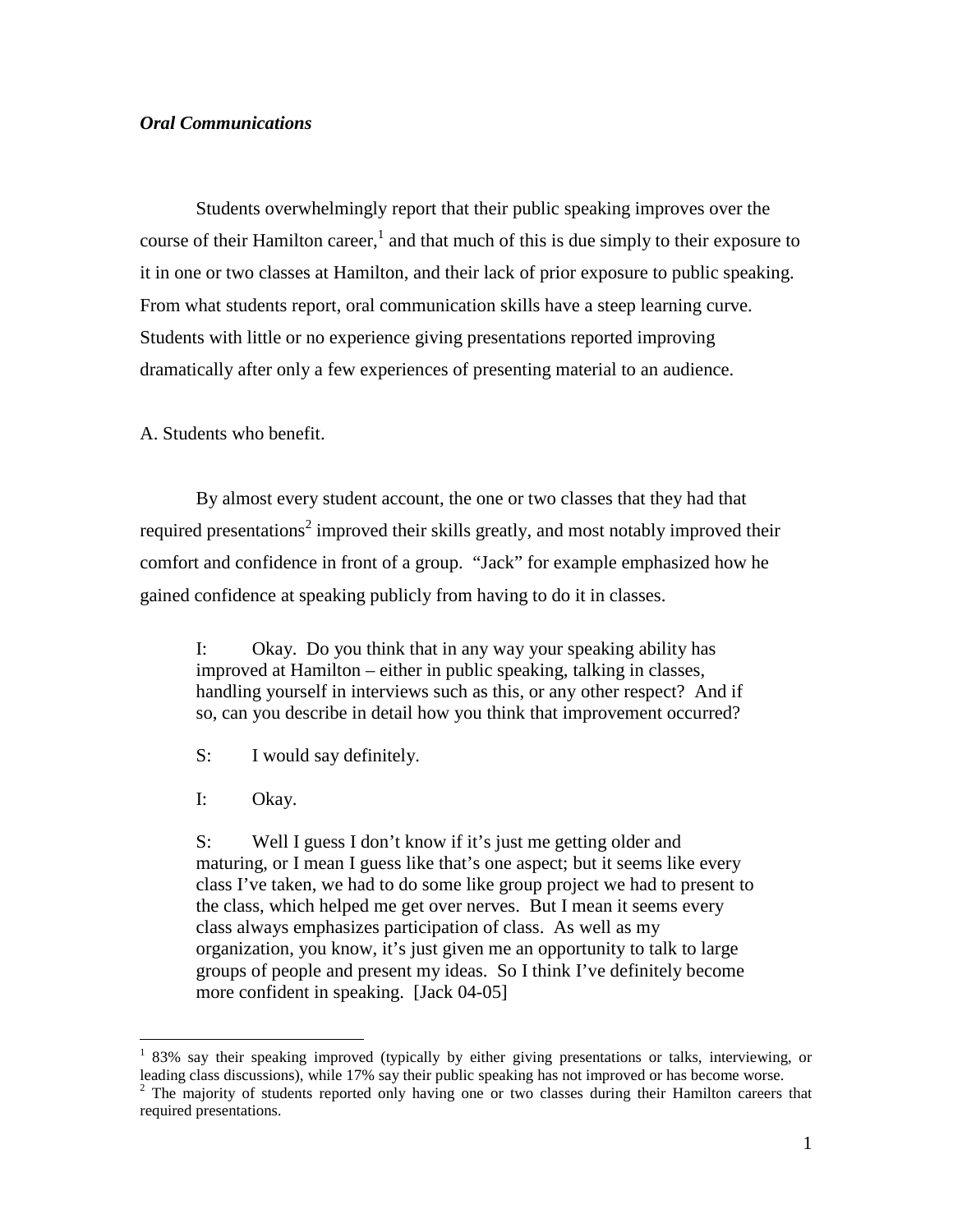## *Oral Communications*

 Students overwhelmingly report that their public speaking improves over the course of their Hamilton career,<sup>1</sup> and that much of this is due simply to their exposure to it in one or two classes at Hamilton, and their lack of prior exposure to public speaking. From what students report, oral communication skills have a steep learning curve. Students with little or no experience giving presentations reported improving dramatically after only a few experiences of presenting material to an audience.

A. Students who benefit.

By almost every student account, the one or two classes that they had that required presentations<sup>2</sup> improved their skills greatly, and most notably improved their comfort and confidence in front of a group. "Jack" for example emphasized how he gained confidence at speaking publicly from having to do it in classes.

I: Okay. Do you think that in any way your speaking ability has improved at Hamilton – either in public speaking, talking in classes, handling yourself in interviews such as this, or any other respect? And if so, can you describe in detail how you think that improvement occurred?

- S: I would say definitely.
- I: Okay.

 $\overline{a}$ 

S: Well I guess I don't know if it's just me getting older and maturing, or I mean I guess like that's one aspect; but it seems like every class I've taken, we had to do some like group project we had to present to the class, which helped me get over nerves. But I mean it seems every class always emphasizes participation of class. As well as my organization, you know, it's just given me an opportunity to talk to large groups of people and present my ideas. So I think I've definitely become more confident in speaking. [Jack 04-05]

<sup>&</sup>lt;sup>1</sup> 83% say their speaking improved (typically by either giving presentations or talks, interviewing, or leading class discussions), while 17% say their public speaking has not improved or has become worse.

<sup>&</sup>lt;sup>2</sup> The majority of students reported only having one or two classes during their Hamilton careers that required presentations.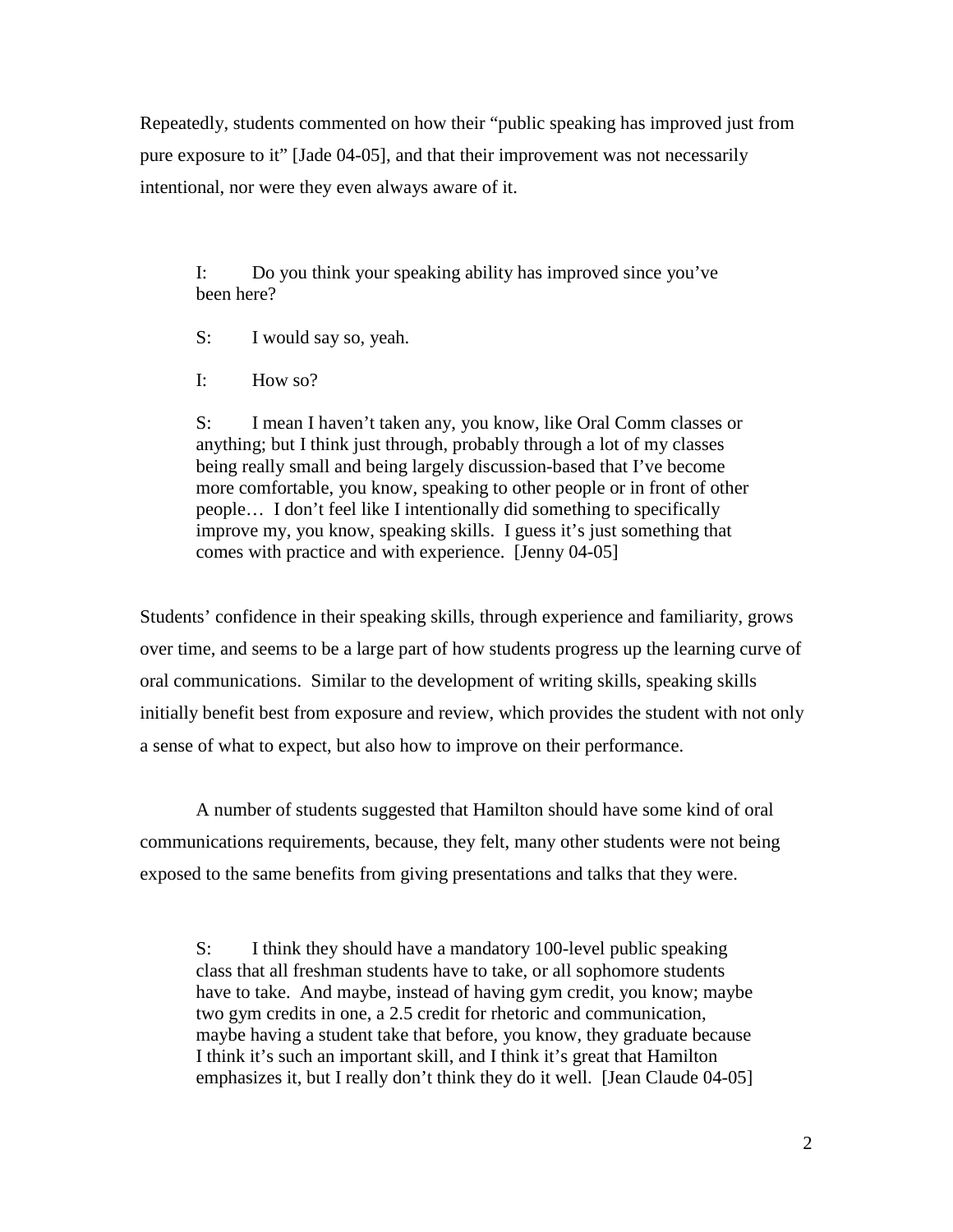Repeatedly, students commented on how their "public speaking has improved just from pure exposure to it" [Jade 04-05], and that their improvement was not necessarily intentional, nor were they even always aware of it.

I: Do you think your speaking ability has improved since you've been here?

S: I would say so, yeah.

I: How so?

S: I mean I haven't taken any, you know, like Oral Comm classes or anything; but I think just through, probably through a lot of my classes being really small and being largely discussion-based that I've become more comfortable, you know, speaking to other people or in front of other people… I don't feel like I intentionally did something to specifically improve my, you know, speaking skills. I guess it's just something that comes with practice and with experience. [Jenny 04-05]

Students' confidence in their speaking skills, through experience and familiarity, grows over time, and seems to be a large part of how students progress up the learning curve of oral communications. Similar to the development of writing skills, speaking skills initially benefit best from exposure and review, which provides the student with not only a sense of what to expect, but also how to improve on their performance.

A number of students suggested that Hamilton should have some kind of oral communications requirements, because, they felt, many other students were not being exposed to the same benefits from giving presentations and talks that they were.

S: I think they should have a mandatory 100-level public speaking class that all freshman students have to take, or all sophomore students have to take. And maybe, instead of having gym credit, you know; maybe two gym credits in one, a 2.5 credit for rhetoric and communication, maybe having a student take that before, you know, they graduate because I think it's such an important skill, and I think it's great that Hamilton emphasizes it, but I really don't think they do it well. [Jean Claude 04-05]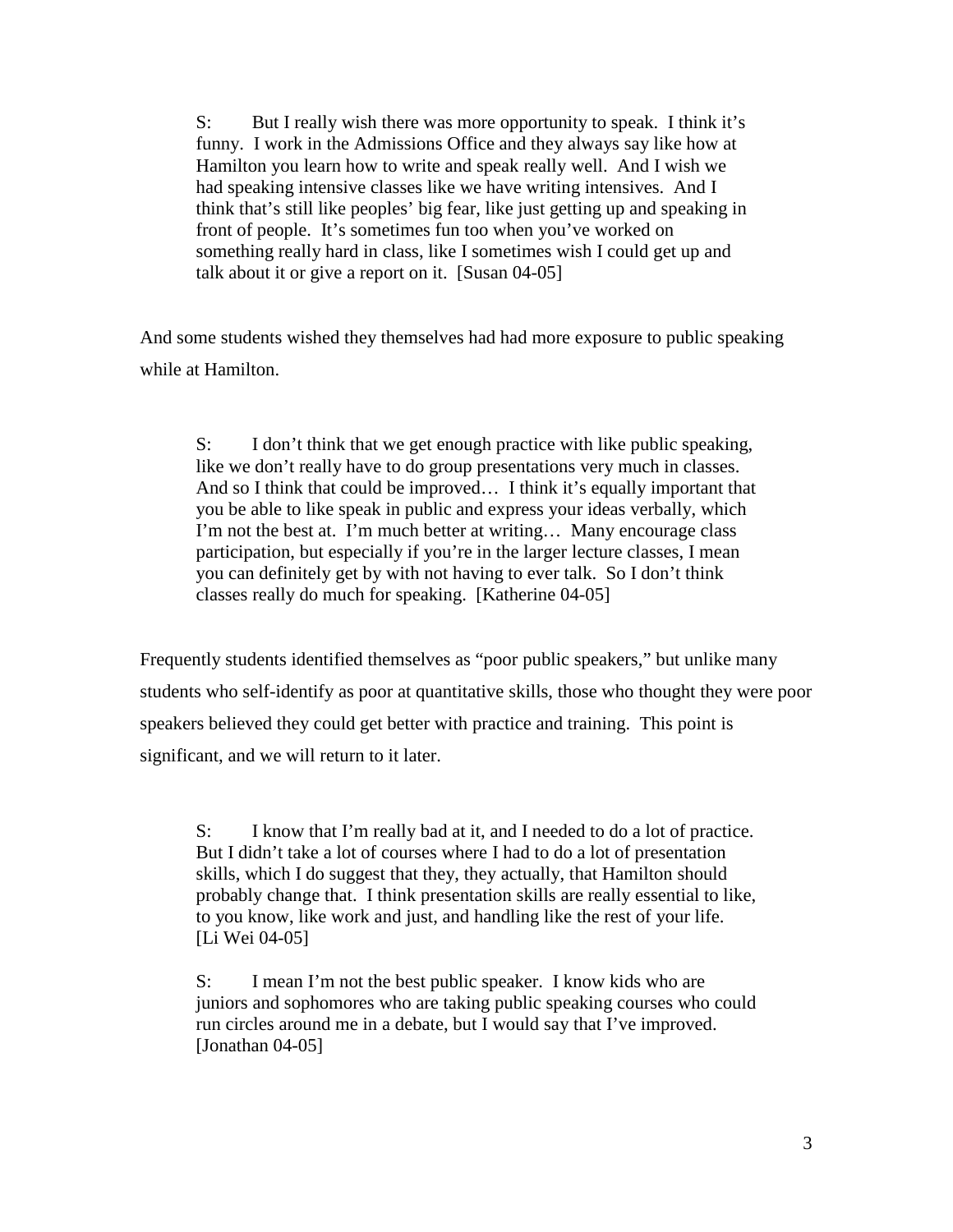S: But I really wish there was more opportunity to speak. I think it's funny. I work in the Admissions Office and they always say like how at Hamilton you learn how to write and speak really well. And I wish we had speaking intensive classes like we have writing intensives. And I think that's still like peoples' big fear, like just getting up and speaking in front of people. It's sometimes fun too when you've worked on something really hard in class, like I sometimes wish I could get up and talk about it or give a report on it. [Susan 04-05]

And some students wished they themselves had had more exposure to public speaking while at Hamilton.

S: I don't think that we get enough practice with like public speaking, like we don't really have to do group presentations very much in classes. And so I think that could be improved… I think it's equally important that you be able to like speak in public and express your ideas verbally, which I'm not the best at. I'm much better at writing… Many encourage class participation, but especially if you're in the larger lecture classes, I mean you can definitely get by with not having to ever talk. So I don't think classes really do much for speaking. [Katherine 04-05]

Frequently students identified themselves as "poor public speakers," but unlike many students who self-identify as poor at quantitative skills, those who thought they were poor speakers believed they could get better with practice and training. This point is significant, and we will return to it later.

S: I know that I'm really bad at it, and I needed to do a lot of practice. But I didn't take a lot of courses where I had to do a lot of presentation skills, which I do suggest that they, they actually, that Hamilton should probably change that. I think presentation skills are really essential to like, to you know, like work and just, and handling like the rest of your life. [Li Wei 04-05]

S: I mean I'm not the best public speaker. I know kids who are juniors and sophomores who are taking public speaking courses who could run circles around me in a debate, but I would say that I've improved. [Jonathan 04-05]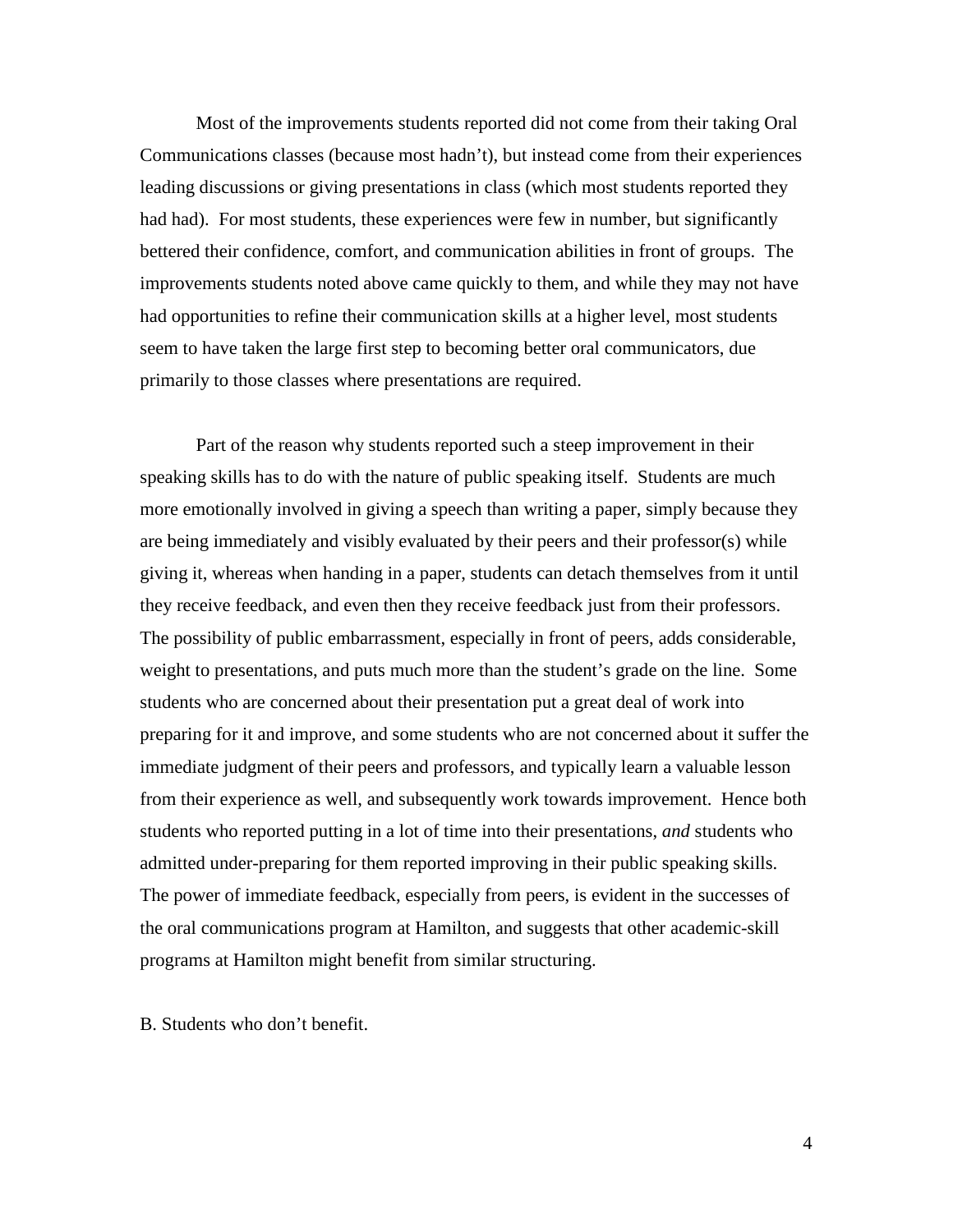Most of the improvements students reported did not come from their taking Oral Communications classes (because most hadn't), but instead come from their experiences leading discussions or giving presentations in class (which most students reported they had had). For most students, these experiences were few in number, but significantly bettered their confidence, comfort, and communication abilities in front of groups. The improvements students noted above came quickly to them, and while they may not have had opportunities to refine their communication skills at a higher level, most students seem to have taken the large first step to becoming better oral communicators, due primarily to those classes where presentations are required.

 Part of the reason why students reported such a steep improvement in their speaking skills has to do with the nature of public speaking itself. Students are much more emotionally involved in giving a speech than writing a paper, simply because they are being immediately and visibly evaluated by their peers and their professor(s) while giving it, whereas when handing in a paper, students can detach themselves from it until they receive feedback, and even then they receive feedback just from their professors. The possibility of public embarrassment, especially in front of peers, adds considerable, weight to presentations, and puts much more than the student's grade on the line. Some students who are concerned about their presentation put a great deal of work into preparing for it and improve, and some students who are not concerned about it suffer the immediate judgment of their peers and professors, and typically learn a valuable lesson from their experience as well, and subsequently work towards improvement. Hence both students who reported putting in a lot of time into their presentations, *and* students who admitted under-preparing for them reported improving in their public speaking skills. The power of immediate feedback, especially from peers, is evident in the successes of the oral communications program at Hamilton, and suggests that other academic-skill programs at Hamilton might benefit from similar structuring.

B. Students who don't benefit.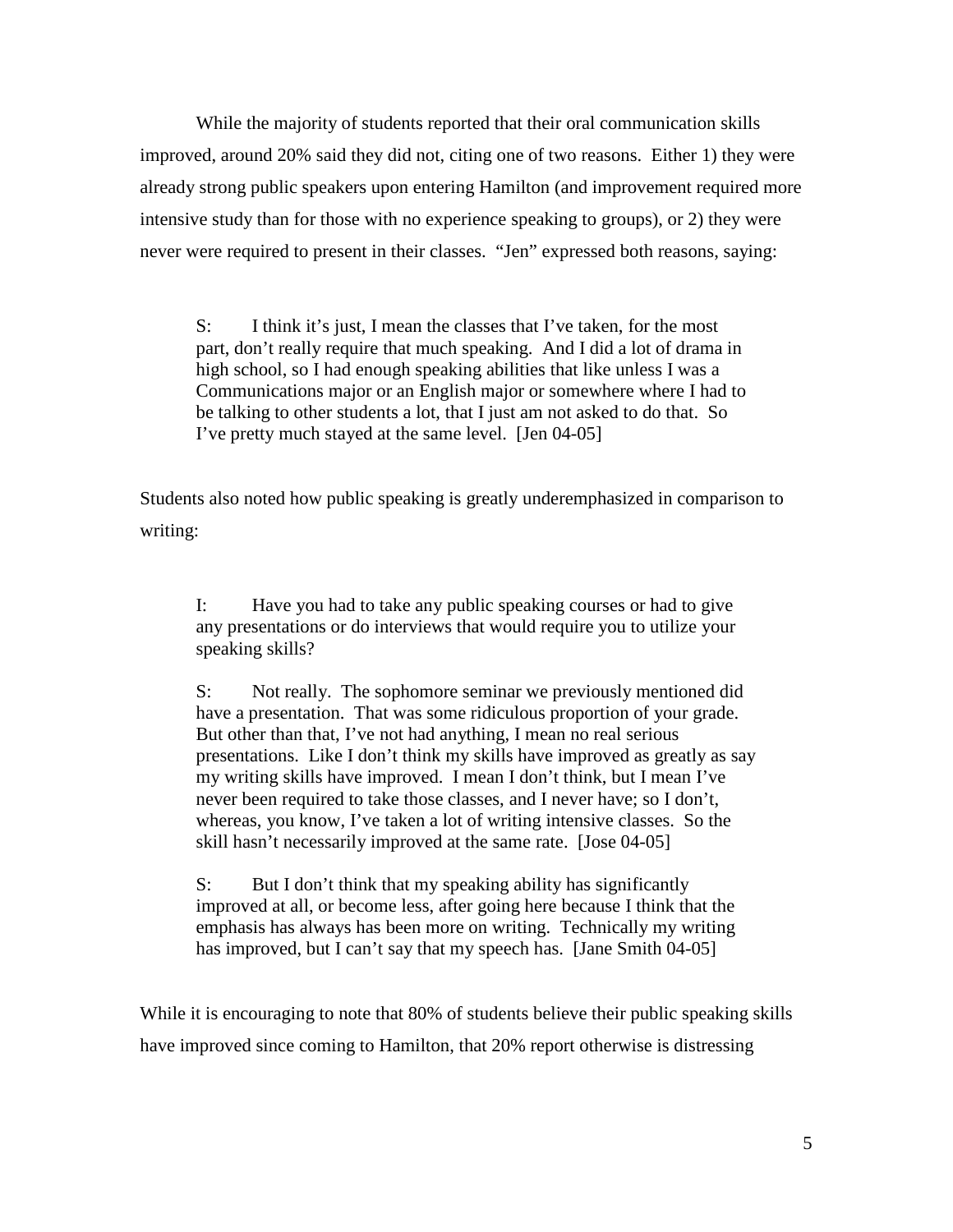While the majority of students reported that their oral communication skills improved, around 20% said they did not, citing one of two reasons. Either 1) they were already strong public speakers upon entering Hamilton (and improvement required more intensive study than for those with no experience speaking to groups), or 2) they were never were required to present in their classes. "Jen" expressed both reasons, saying:

S: I think it's just, I mean the classes that I've taken, for the most part, don't really require that much speaking. And I did a lot of drama in high school, so I had enough speaking abilities that like unless I was a Communications major or an English major or somewhere where I had to be talking to other students a lot, that I just am not asked to do that. So I've pretty much stayed at the same level. [Jen 04-05]

Students also noted how public speaking is greatly underemphasized in comparison to writing:

I: Have you had to take any public speaking courses or had to give any presentations or do interviews that would require you to utilize your speaking skills?

S: Not really. The sophomore seminar we previously mentioned did have a presentation. That was some ridiculous proportion of your grade. But other than that, I've not had anything, I mean no real serious presentations. Like I don't think my skills have improved as greatly as say my writing skills have improved. I mean I don't think, but I mean I've never been required to take those classes, and I never have; so I don't, whereas, you know, I've taken a lot of writing intensive classes. So the skill hasn't necessarily improved at the same rate. [Jose 04-05]

S: But I don't think that my speaking ability has significantly improved at all, or become less, after going here because I think that the emphasis has always has been more on writing. Technically my writing has improved, but I can't say that my speech has. [Jane Smith 04-05]

While it is encouraging to note that 80% of students believe their public speaking skills have improved since coming to Hamilton, that 20% report otherwise is distressing